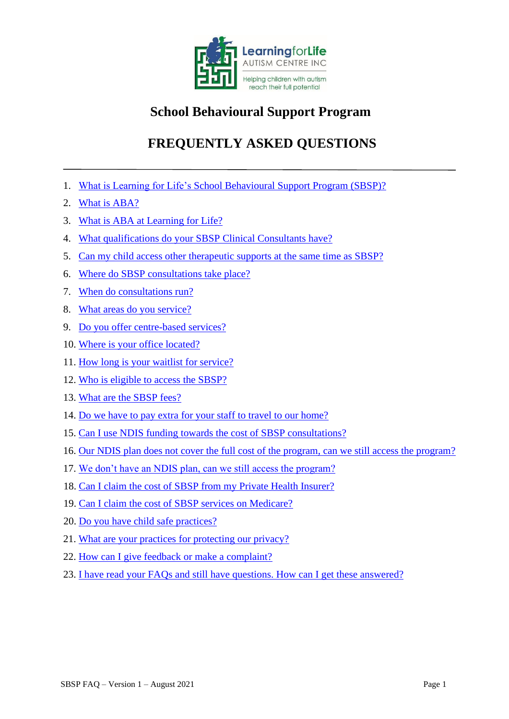

# **School Behavioural Support Program**

# **FREQUENTLY ASKED QUESTIONS**

- <span id="page-0-1"></span>1. [What is Learning for Life's School Behavioural Support](#page-0-0) Program (SBSP)?
- 2. [What is ABA?](#page-1-0)
- 3. [What is ABA at Learning for Life?](#page-1-1)
- 4. [What qualifications do your SBSP](#page-2-0) Clinical Consultants have?
- 5. [Can my child access other therapeutic supports at the same time as SBSP?](#page-2-1)
- 6. Where do [SBSP consultations take place?](#page-2-2)
- 7. [When do consultations run?](#page-2-3)
- 8. [What areas do you service?](#page-2-4)
- 9. [Do you offer centre-based services?](#page-2-5)
- 10. [Where is your office located?](#page-3-0)
- 11. [How long is your waitlist for service?](#page-3-1)
- 12. [Who is eligible to access the SBSP?](#page-3-2)
- 13. [What are the SBSP fees?](#page-3-3)
- 14. [Do we have to pay extra for your staff to travel to our home?](#page-3-4)
- 15. [Can I use NDIS funding towards the cost of SBSP consultations?](#page-3-5)
- 16. [Our NDIS plan does not cover the full cost of the program, can we still access the program?](#page-4-0)
- 17. [We don't have an NDIS plan, can we still access the program?](#page-4-1)
- 18. [Can I claim the cost of SBSP from my Private Health Insurer?](#page-4-2)
- 19. [Can I claim the cost of SBSP services on Medicare?](#page-4-3)
- 20. [Do you have child safe practices?](#page-4-4)
- 21. [What are your practices for protecting our privacy?](#page-4-5)
- 22. [How can I give feedback or make a complaint?](#page-5-0)
- <span id="page-0-0"></span>23. [I have read your FAQs and still have questions. How can I get these answered?](#page-4-4)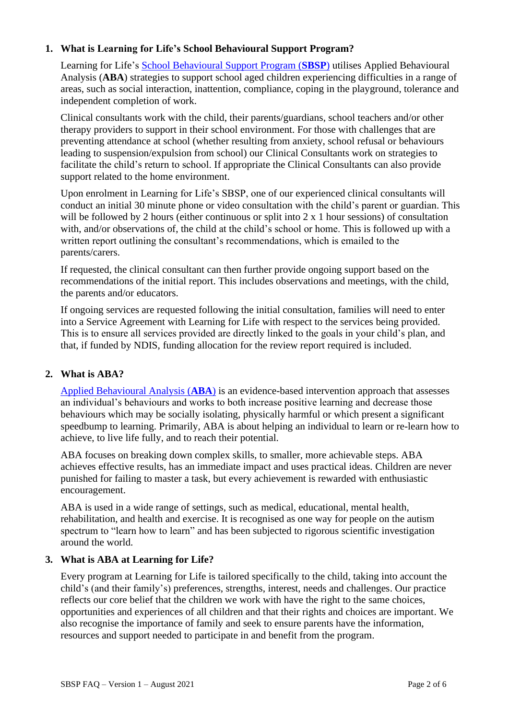# **1. What is Learning for Life's School Behavioural Support Program?**

Learning for Life's [School Behavioural Support Program \(](https://www.learningforlife.com.au/school-behavioural-support-program/)**SBSP**) utilises Applied Behavioural Analysis (**ABA**) strategies to support school aged children experiencing difficulties in a range of areas, such as social interaction, inattention, compliance, coping in the playground, tolerance and independent completion of work.

Clinical consultants work with the child, their parents/guardians, school teachers and/or other therapy providers to support in their school environment. For those with challenges that are preventing attendance at school (whether resulting from anxiety, school refusal or behaviours leading to suspension/expulsion from school) our Clinical Consultants work on strategies to facilitate the child's return to school. If appropriate the Clinical Consultants can also provide support related to the home environment.

Upon enrolment in Learning for Life's SBSP, one of our experienced clinical consultants will conduct an initial 30 minute phone or video consultation with the child's parent or guardian. This will be followed by 2 hours (either continuous or split into 2 x 1 hour sessions) of consultation with, and/or observations of, the child at the child's school or home. This is followed up with a written report outlining the consultant's recommendations, which is emailed to the parents/carers.

If requested, the clinical consultant can then further provide ongoing support based on the recommendations of the initial report. This includes observations and meetings, with the child, the parents and/or educators.

If ongoing services are requested following the initial consultation, families will need to enter into a Service Agreement with Learning for Life with respect to the services being provided. This is to ensure all services provided are directly linked to the goals in your child's plan, and that, if funded by NDIS, funding allocation for the review report required is included.

# <span id="page-1-0"></span>**2. What is ABA?**

[Applied Behavioural Analysis \(](https://www.learningforlife.com.au/aba-therapy/)**ABA**) is an evidence-based intervention approach that assesses an individual's behaviours and works to both increase positive learning and decrease those behaviours which may be socially isolating, physically harmful or which present a significant speedbump to learning. Primarily, ABA is about helping an individual to learn or re-learn how to achieve, to live life fully, and to reach their potential.

ABA focuses on breaking down complex skills, to smaller, more achievable steps. ABA achieves effective results, has an immediate impact and uses practical ideas. Children are never punished for failing to master a task, but every achievement is rewarded with enthusiastic encouragement.

ABA is used in a wide range of settings, such as medical, educational, mental health, rehabilitation, and health and exercise. It is recognised as one way for people on the autism spectrum to "learn how to learn" and has been subjected to rigorous scientific investigation around the world.

#### <span id="page-1-1"></span>**3. What is ABA at Learning for Life?**

Every program at Learning for Life is tailored specifically to the child, taking into account the child's (and their family's) preferences, strengths, interest, needs and challenges. Our practice reflects our core belief that the children we work with have the right to the same choices, opportunities and experiences of all children and that their rights and choices are important. We also recognise the importance of family and seek to ensure parents have the information, resources and support needed to participate in and benefit from the program.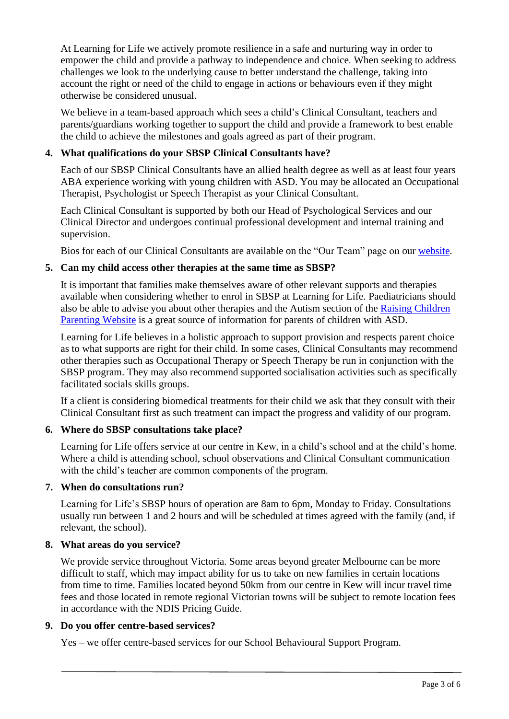At Learning for Life we actively promote resilience in a safe and nurturing way in order to empower the child and provide a pathway to independence and choice*.* When seeking to address challenges we look to the underlying cause to better understand the challenge, taking into account the right or need of the child to engage in actions or behaviours even if they might otherwise be considered unusual.

We believe in a team-based approach which sees a child's Clinical Consultant, teachers and parents/guardians working together to support the child and provide a framework to best enable the child to achieve the milestones and goals agreed as part of their program.

# <span id="page-2-0"></span>**4. What qualifications do your SBSP Clinical Consultants have?**

Each of our SBSP Clinical Consultants have an allied health degree as well as at least four years ABA experience working with young children with ASD. You may be allocated an Occupational Therapist, Psychologist or Speech Therapist as your Clinical Consultant.

Each Clinical Consultant is supported by both our Head of Psychological Services and our Clinical Director and undergoes continual professional development and internal training and supervision.

Bios for each of our Clinical Consultants are available on the "Our Team" page on our [website.](https://www.learningforlife.com.au/administrative-and-clinical-team/)

## <span id="page-2-1"></span>**5. Can my child access other therapies at the same time as SBSP?**

It is important that families make themselves aware of other relevant supports and therapies available when considering whether to enrol in SBSP at Learning for Life. Paediatricians should also be able to advise you about other therapies and the Autism section of the [Raising Children](https://raisingchildren.net.au/autism/therapies-services)  [Parenting Website](https://raisingchildren.net.au/autism/therapies-services) is a great source of information for parents of children with ASD.

Learning for Life believes in a holistic approach to support provision and respects parent choice as to what supports are right for their child. In some cases, Clinical Consultants may recommend other therapies such as Occupational Therapy or Speech Therapy be run in conjunction with the SBSP program. They may also recommend supported socialisation activities such as specifically facilitated socials skills groups.

If a client is considering biomedical treatments for their child we ask that they consult with their Clinical Consultant first as such treatment can impact the progress and validity of our program.

# <span id="page-2-2"></span>**6. Where do SBSP consultations take place?**

Learning for Life offers service at our centre in Kew, in a child's school and at the child's home. Where a child is attending school, school observations and Clinical Consultant communication with the child's teacher are common components of the program.

#### <span id="page-2-3"></span>**7. When do consultations run?**

Learning for Life's SBSP hours of operation are 8am to 6pm, Monday to Friday. Consultations usually run between 1 and 2 hours and will be scheduled at times agreed with the family (and, if relevant, the school).

#### <span id="page-2-4"></span>**8. What areas do you service?**

We provide service throughout Victoria. Some areas beyond greater Melbourne can be more difficult to staff, which may impact ability for us to take on new families in certain locations from time to time. Families located beyond 50km from our centre in Kew will incur travel time fees and those located in remote regional Victorian towns will be subject to remote location fees in accordance with the NDIS Pricing Guide.

#### <span id="page-2-5"></span>**9. Do you offer centre-based services?**

Yes – we offer centre-based services for our School Behavioural Support Program.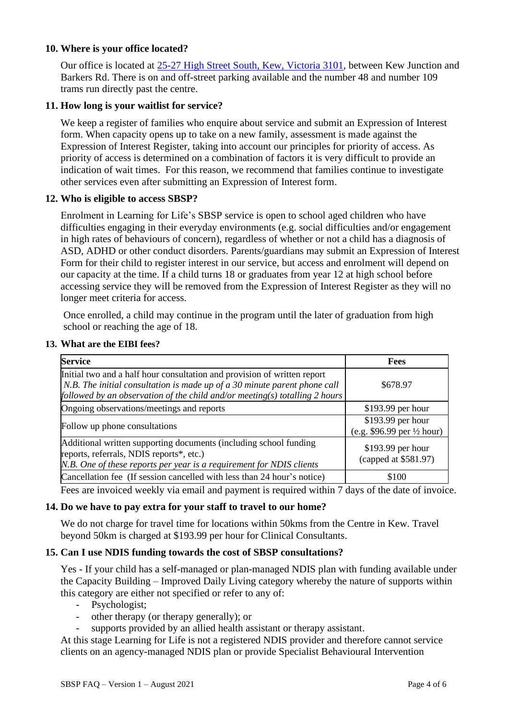#### <span id="page-3-0"></span>**10. Where is your office located?**

Our office is located at [25-27 High Street South, Kew, Victoria 3101,](https://goo.gl/maps/ERE9eCRuS93aRhhz9) between Kew Junction and Barkers Rd. There is on and off-street parking available and the number 48 and number 109 trams run directly past the centre.

## <span id="page-3-1"></span>**11. How long is your waitlist for service?**

We keep a register of families who enquire about service and submit an Expression of Interest form. When capacity opens up to take on a new family, assessment is made against the Expression of Interest Register, taking into account our principles for priority of access. As priority of access is determined on a combination of factors it is very difficult to provide an indication of wait times. For this reason, we recommend that families continue to investigate other services even after submitting an Expression of Interest form.

#### <span id="page-3-2"></span>**12. Who is eligible to access SBSP?**

Enrolment in Learning for Life's SBSP service is open to school aged children who have difficulties engaging in their everyday environments (e.g. social difficulties and/or engagement in high rates of behaviours of concern), regardless of whether or not a child has a diagnosis of ASD, ADHD or other conduct disorders. Parents/guardians may submit an Expression of Interest Form for their child to register interest in our service, but access and enrolment will depend on our capacity at the time. If a child turns 18 or graduates from year 12 at high school before accessing service they will be removed from the Expression of Interest Register as they will no longer meet criteria for access.

Once enrolled, a child may continue in the program until the later of graduation from high school or reaching the age of 18.

#### <span id="page-3-3"></span>**13. What are the EIBI fees?**

| <b>Service</b>                                                                                                                                                                                                                       | Fees                                                       |
|--------------------------------------------------------------------------------------------------------------------------------------------------------------------------------------------------------------------------------------|------------------------------------------------------------|
| Initial two and a half hour consultation and provision of written report<br>N.B. The initial consultation is made up of a 30 minute parent phone call<br>followed by an observation of the child and/or meeting(s) totalling 2 hours | \$678.97                                                   |
| Ongoing observations/meetings and reports                                                                                                                                                                                            | $$193.99$ per hour                                         |
| Follow up phone consultations                                                                                                                                                                                                        | \$193.99 per hour<br>(e.g. \$96.99 per $\frac{1}{2}$ hour) |
| Additional written supporting documents (including school funding<br>reports, referrals, NDIS reports*, etc.)<br>N.B. One of these reports per year is a requirement for NDIS clients                                                | \$193.99 per hour<br>(capped at \$581.97)                  |
| Cancellation fee (If session cancelled with less than 24 hour's notice)                                                                                                                                                              | \$100                                                      |

Fees are invoiced weekly via email and payment is required within 7 days of the date of invoice.

#### <span id="page-3-4"></span>**14. Do we have to pay extra for your staff to travel to our home?**

We do not charge for travel time for locations within 50kms from the Centre in Kew. Travel beyond 50km is charged at \$193.99 per hour for Clinical Consultants.

#### <span id="page-3-5"></span>**15. Can I use NDIS funding towards the cost of SBSP consultations?**

Yes - If your child has a self-managed or plan-managed NDIS plan with funding available under the Capacity Building – Improved Daily Living category whereby the nature of supports within this category are either not specified or refer to any of:

- Psychologist;
- other therapy (or therapy generally); or
	- supports provided by an allied health assistant or therapy assistant.

At this stage Learning for Life is not a registered NDIS provider and therefore cannot service clients on an agency-managed NDIS plan or provide Specialist Behavioural Intervention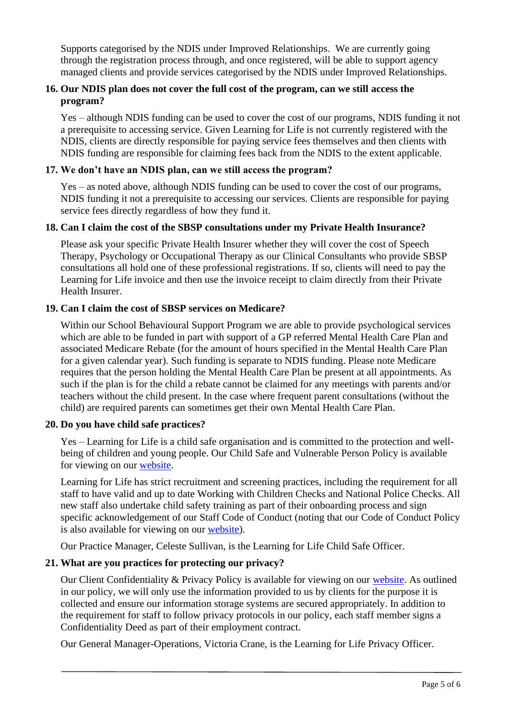Supports categorised by the NDIS under Improved Relationships. We are currently going through the registration process through, and once registered, will be able to support agency managed clients and provide services categorised by the NDIS under Improved Relationships.

# <span id="page-4-0"></span>**16. Our NDIS plan does not cover the full cost of the program, can we still access the program?**

Yes – although NDIS funding can be used to cover the cost of our programs, NDIS funding it not a prerequisite to accessing service. Given Learning for Life is not currently registered with the NDIS, clients are directly responsible for paying service fees themselves and then clients with NDIS funding are responsible for claiming fees back from the NDIS to the extent applicable.

#### <span id="page-4-1"></span>**17. We don't have an NDIS plan, can we still access the program?**

Yes – as noted above, although NDIS funding can be used to cover the cost of our programs, NDIS funding it not a prerequisite to accessing our services. Clients are responsible for paying service fees directly regardless of how they fund it.

#### <span id="page-4-2"></span>**18. Can I claim the cost of the SBSP consultations under my Private Health Insurance?**

Please ask your specific Private Health Insurer whether they will cover the cost of Speech Therapy, Psychology or Occupational Therapy as our Clinical Consultants who provide SBSP consultations all hold one of these professional registrations. If so, clients will need to pay the Learning for Life invoice and then use the invoice receipt to claim directly from their Private Health Insurer.

## <span id="page-4-3"></span>**19. Can I claim the cost of SBSP services on Medicare?**

Within our School Behavioural Support Program we are able to provide psychological services which are able to be funded in part with support of a GP referred Mental Health Care Plan and associated Medicare Rebate (for the amount of hours specified in the Mental Health Care Plan for a given calendar year). Such funding is separate to NDIS funding. Please note Medicare requires that the person holding the Mental Health Care Plan be present at all appointments. As such if the plan is for the child a rebate cannot be claimed for any meetings with parents and/or teachers without the child present. In the case where frequent parent consultations (without the child) are required parents can sometimes get their own Mental Health Care Plan.

#### <span id="page-4-4"></span>**20. Do you have child safe practices?**

Yes – Learning for Life is a child safe organisation and is committed to the protection and wellbeing of children and young people. Our Child Safe and Vulnerable Person Policy is available for viewing on our [website.](https://www.learningforlife.com.au/client-policies/)

Learning for Life has strict recruitment and screening practices, including the requirement for all staff to have valid and up to date Working with Children Checks and National Police Checks. All new staff also undertake child safety training as part of their onboarding process and sign specific acknowledgement of our Staff Code of Conduct (noting that our Code of Conduct Policy is also available for viewing on our [website\)](https://www.learningforlife.com.au/client-policies/).

Our Practice Manager, Celeste Sullivan, is the Learning for Life Child Safe Officer.

# <span id="page-4-5"></span>**21. What are you practices for protecting our privacy?**

Our Client Confidentiality & Privacy Policy is available for viewing on our [website.](https://www.learningforlife.com.au/client-policies/) As outlined in our policy, we will only use the information provided to us by clients for the purpose it is collected and ensure our information storage systems are secured appropriately. In addition to the requirement for staff to follow privacy protocols in our policy, each staff member signs a Confidentiality Deed as part of their employment contract.

Our General Manager-Operations, Victoria Crane, is the Learning for Life Privacy Officer.